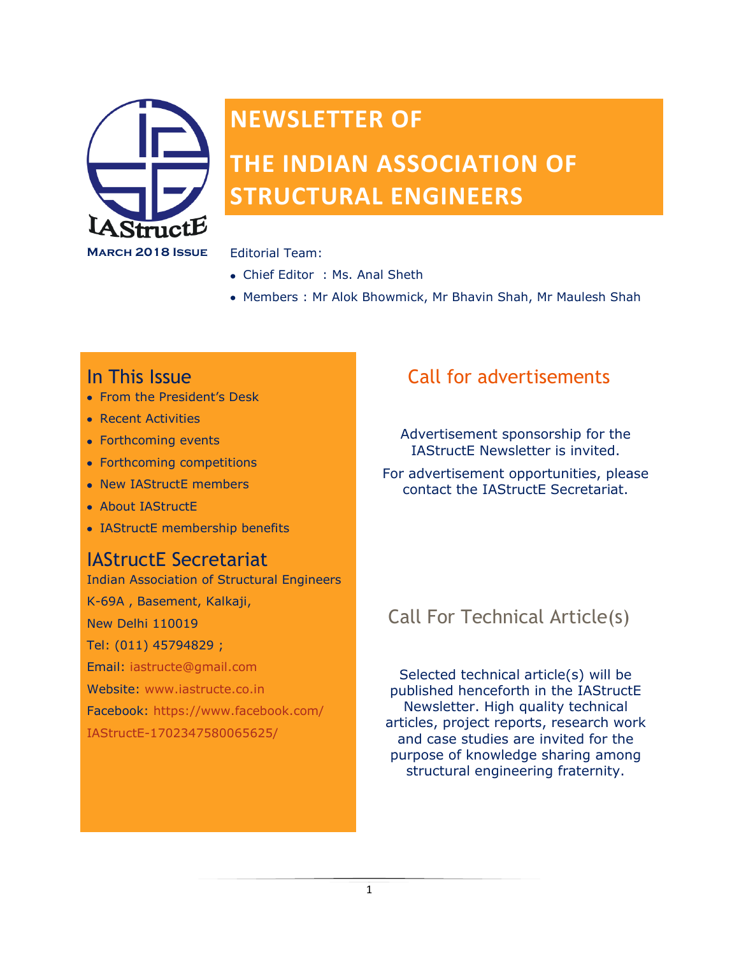

# **NEWSLETTER OF**

# **THE INDIAN ASSOCIATION OF STRUCTURAL ENGINEERS**

- Chief Editor : Ms. Anal Sheth
- Members : Mr Alok Bhowmick, Mr Bhavin Shah, Mr Maulesh Shah

### In This Issue

- From the President's Desk
- Recent Activities
- Forthcoming events
- Forthcoming competitions
- New IAStructE members
- About IAStructE
- IAStructE membership benefits

### IAStructE Secretariat

Indian Association of Structural Engineers K-69A , Basement, Kalkaji, New Delhi 110019 Tel: (011) 45794829 ; Email: iastructe@gmail.com Website: [www.iastructe.co.in](http://www.iastructe.co.in/) Facebook: [https://www.facebook.com/](https://www.facebook.com/IAStructE-1702347580065625/) [IAStructE-1702347580065625/](https://www.facebook.com/IAStructE-1702347580065625/)

## Call for advertisements

Advertisement sponsorship for the IAStructE Newsletter is invited.

For advertisement opportunities, please contact the IAStructE Secretariat.

## Call For Technical Article(s)

Selected technical article(s) will be published henceforth in the IAStructE Newsletter. High quality technical articles, project reports, research work and case studies are invited for the purpose of knowledge sharing among structural engineering fraternity.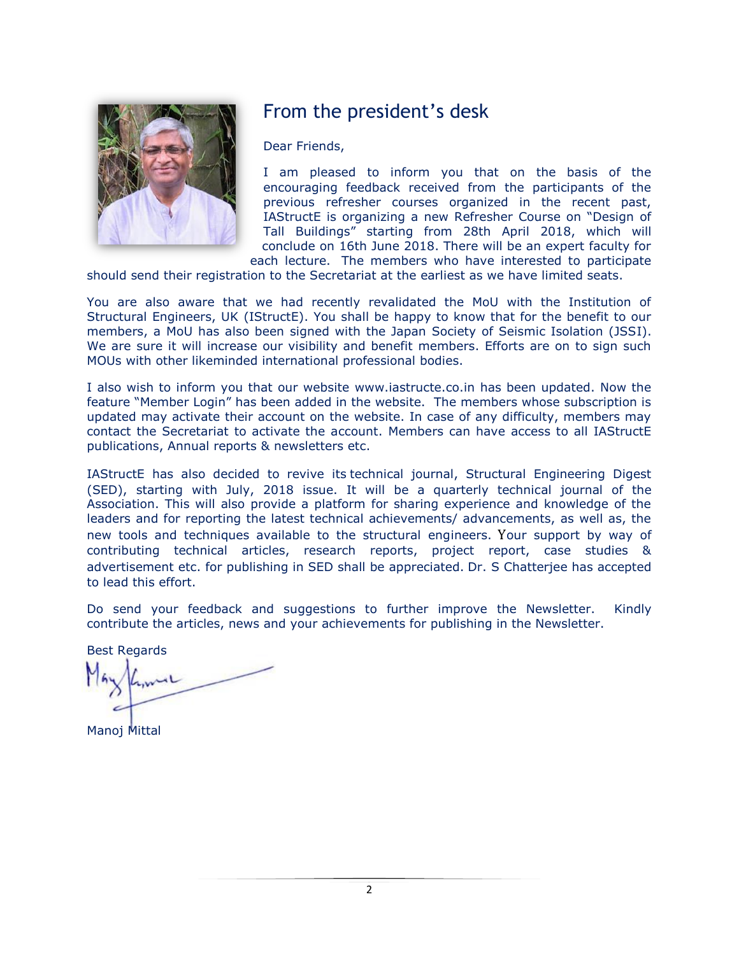

### From the president's desk

Dear Friends,

I am pleased to inform you that on the basis of the encouraging feedback received from the participants of the previous refresher courses organized in the recent past, IAStructE is organizing a new Refresher Course on "Design of Tall Buildings" starting from 28th April 2018, which will conclude on 16th June 2018. There will be an expert faculty for each lecture. The members who have interested to participate

should send their registration to the Secretariat at the earliest as we have limited seats.

You are also aware that we had recently revalidated the MoU with the Institution of Structural Engineers, UK (IStructE). You shall be happy to know that for the benefit to our members, a MoU has also been signed with the Japan Society of Seismic Isolation (JSSI). We are sure it will increase our visibility and benefit members. Efforts are on to sign such MOUs with other likeminded international professional bodies.

I also wish to inform you that our website [www.iastructe.co.in](http://www.iastructe.co.in/) has been updated. Now the feature "Member Login" has been added in the website. The members whose subscription is updated may activate their account on the website. In case of any difficulty, members may contact the Secretariat to activate the account. Members can have access to all IAStructE publications, Annual reports & newsletters etc.

IAStructE has also decided to revive its technical journal, Structural Engineering Digest (SED), starting with July, 2018 issue. It will be a quarterly technical journal of the Association. This will also provide a platform for sharing experience and knowledge of the leaders and for reporting the latest technical achievements/ advancements, as well as, the new tools and techniques available to the structural engineers. Your support by way of contributing technical articles, research reports, project report, case studies & advertisement etc. for publishing in SED shall be appreciated. Dr. S Chatterjee has accepted to lead this effort.

Do send your feedback and suggestions to further improve the Newsletter. Kindly contribute the articles, news and your achievements for publishing in the Newsletter.

Best Regards

Manoj Mittal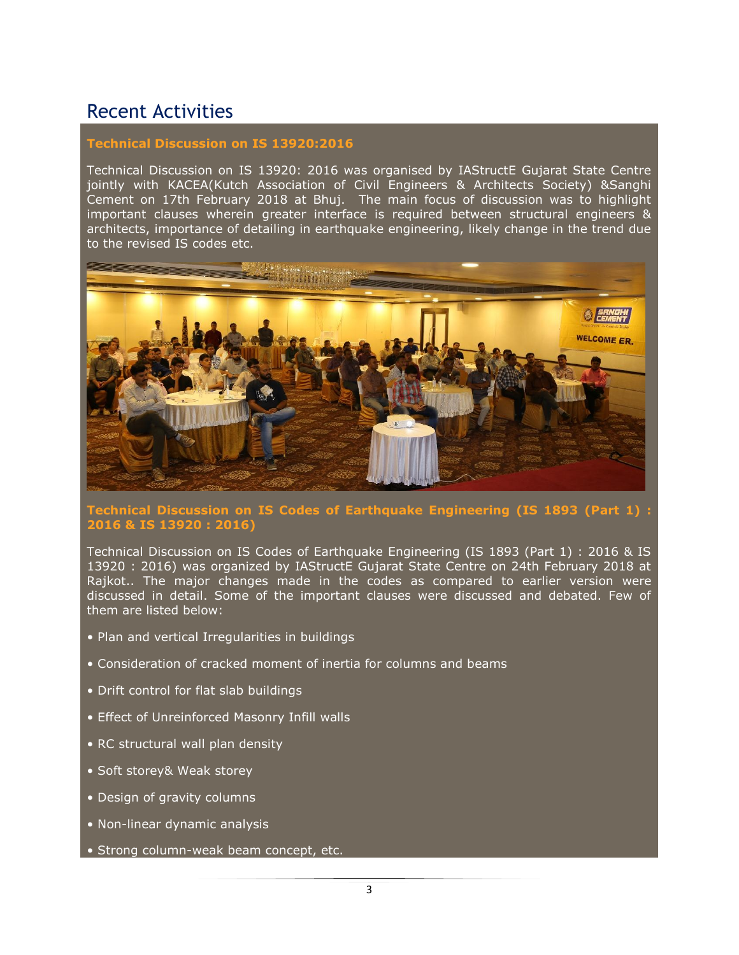### Recent Activities

#### **Technical Discussion on IS 13920:2016**

Technical Discussion on IS 13920: 2016 was organised by IAStructE Gujarat State Centre jointly with KACEA(Kutch Association of Civil Engineers & Architects Society) &Sanghi Cement on 17th February 2018 at Bhuj. The main focus of discussion was to highlight important clauses wherein greater interface is required between structural engineers & architects, importance of detailing in earthquake engineering, likely change in the trend due to the revised IS codes etc.



### **Technical Discussion on IS Codes of Earthquake Engineering (IS 1893 (Part 1) : 2016 & IS 13920 : 2016)**

Technical Discussion on IS Codes of Earthquake Engineering (IS 1893 (Part 1) : 2016 & IS 13920 : 2016) was organized by IAStructE Gujarat State Centre on 24th February 2018 at Rajkot.. The major changes made in the codes as compared to earlier version were discussed in detail. Some of the important clauses were discussed and debated. Few of them are listed below:

- Plan and vertical Irregularities in buildings
- Consideration of cracked moment of inertia for columns and beams
- Drift control for flat slab buildings
- Effect of Unreinforced Masonry Infill walls
- RC structural wall plan density
- Soft storey& Weak storey
- Design of gravity columns
- Non-linear dynamic analysis
- Strong column-weak beam concept, etc.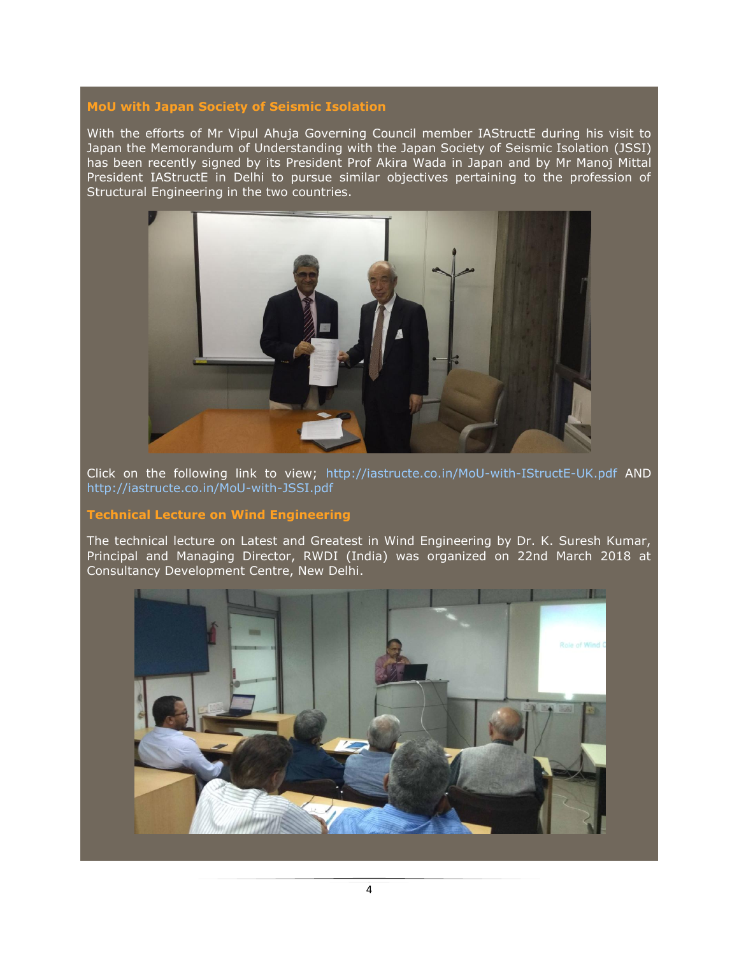#### **MoU with Japan Society of Seismic Isolation**

With the efforts of Mr Vipul Ahuja Governing Council member IAStructE during his visit to Japan the Memorandum of Understanding with the Japan Society of Seismic Isolation (JSSI) has been recently signed by its President Prof Akira Wada in Japan and by Mr Manoj Mittal President IAStructE in Delhi to pursue similar objectives pertaining to the profession of Structural Engineering in the two countries.



Click on the following link to view; <http://iastructe.co.in/MoU-with-IStructE-UK.pdf> AND <http://iastructe.co.in/MoU-with-JSSI.pdf>

#### **Technical Lecture on Wind Engineering**

The technical lecture on Latest and Greatest in Wind Engineering by Dr. K. Suresh Kumar, Principal and Managing Director, RWDI (India) was organized on 22nd March 2018 at Consultancy Development Centre, New Delhi.

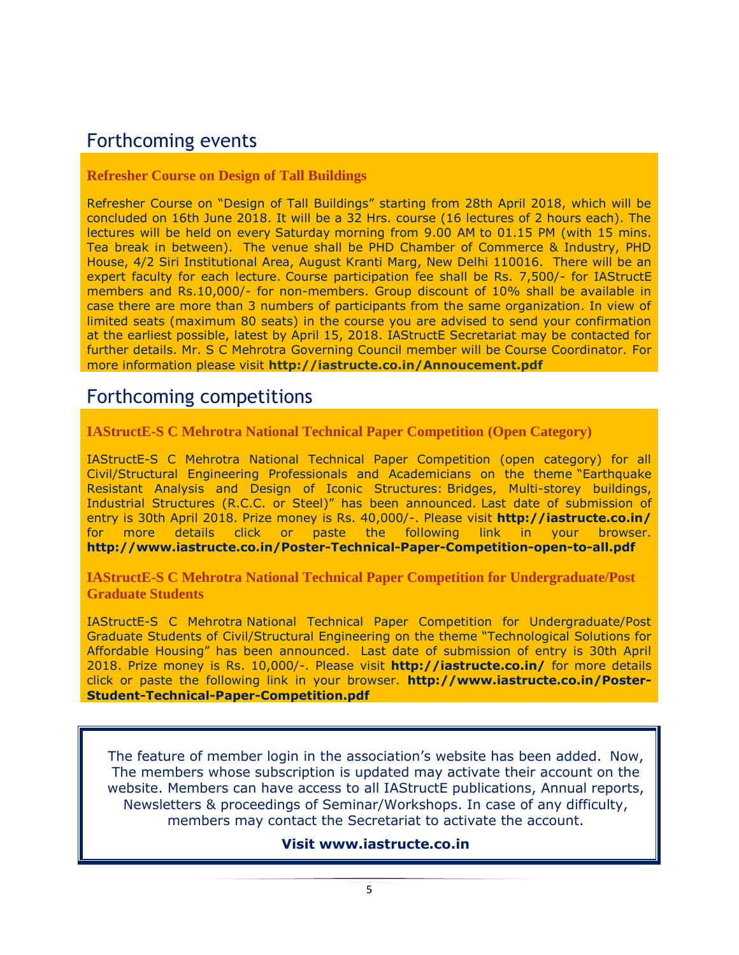### Forthcoming events

#### **Refresher Course on Design of Tall Buildings**

Refresher Course on "Design of Tall Buildings" starting from 28th April 2018, which will be concluded on 16th June 2018. It will be a 32 Hrs. course (16 lectures of 2 hours each). The lectures will be held on every Saturday morning from 9.00 AM to 01.15 PM (with 15 mins. Tea break in between). The venue shall be PHD Chamber of Commerce & Industry, PHD House, 4/2 Siri Institutional Area, August Kranti Marg, New Delhi 110016. There will be an expert faculty for each lecture. Course participation fee shall be Rs. 7,500/- for IAStructE members and Rs.10,000/- for non-members. Group discount of 10% shall be available in case there are more than 3 numbers of participants from the same organization. In view of limited seats (maximum 80 seats) in the course you are advised to send your confirmation at the earliest possible, latest by April 15, 2018. IAStructE Secretariat may be contacted for further details. Mr. S C Mehrotra Governing Council member will be Course Coordinator. For more information please visit **<http://iastructe.co.in/Annoucement.pdf>**

### Forthcoming competitions

**IAStructE-S C Mehrotra National Technical Paper Competition (Open Category)**

IAStructE-S C Mehrotra National Technical Paper Competition (open category) for all Civil/Structural Engineering Professionals and Academicians on the theme "Earthquake Resistant Analysis and Design of Iconic Structures: Bridges, Multi-storey buildings, Industrial Structures (R.C.C. or Steel)" has been announced. Last date of submission of entry is 30th April 2018. Prize money is Rs. 40,000/-. Please visit **<http://iastructe.co.in/>** for more details click or paste the following link in your browser. **<http://www.iastructe.co.in/Poster-Technical-Paper-Competition-open-to-all.pdf>**

**IAStructE-S C Mehrotra National Technical Paper Competition for Undergraduate/Post Graduate Students**

IAStructE-S C Mehrotra National Technical Paper Competition for Undergraduate/Post Graduate Students of Civil/Structural Engineering on the theme "Technological Solutions for Affordable Housing" has been announced. Last date of submission of entry is 30th April 2018. Prize money is Rs. 10,000/-. Please visit **<http://iastructe.co.in/>** for more details click or paste the following link in your browser. **[http://www.iastructe.co.in/Poster-](http://www.iastructe.co.in/Poster-Student-Technical-Paper-Competition.pdf)[Student-Technical-Paper-Competition.pdf](http://www.iastructe.co.in/Poster-Student-Technical-Paper-Competition.pdf)**

The feature of member login in the association"s website has been added. Now, The members whose subscription is updated may activate their account on the website. Members can have access to all IAStructE publications, Annual reports, Newsletters & proceedings of Seminar/Workshops. In case of any difficulty, members may contact the Secretariat to activate the account.

### **Visit [www.iastructe.co.in](http://www.iastructe.co.in/)**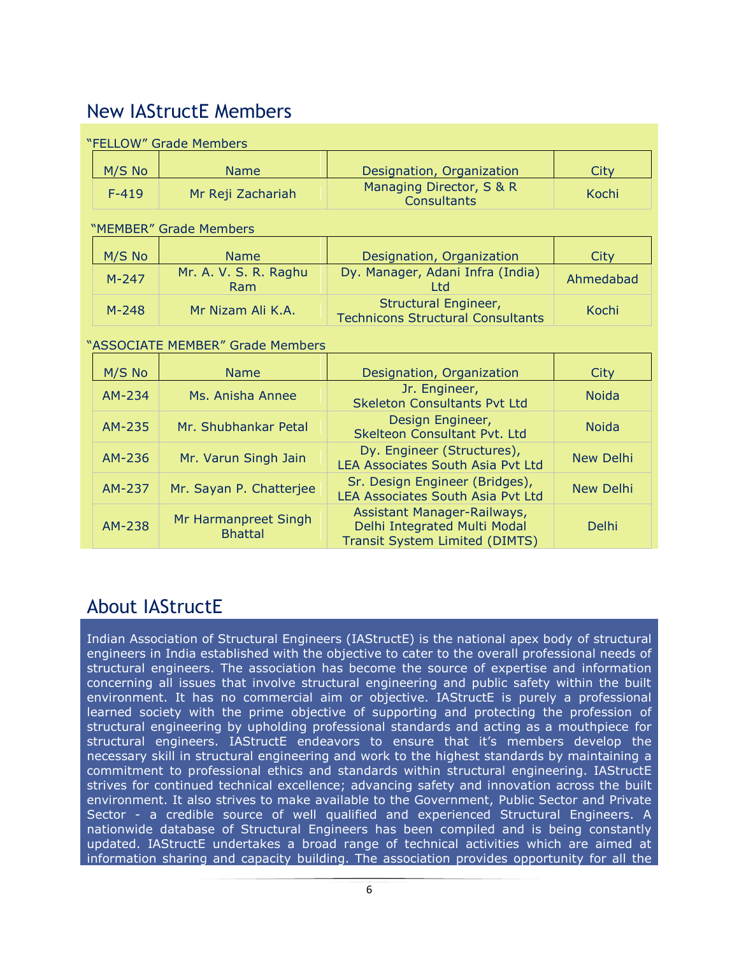### New IAStructE Members

| "FELLOW" Grade Members           |                                        |                                                                                                      |                  |
|----------------------------------|----------------------------------------|------------------------------------------------------------------------------------------------------|------------------|
| M/S No                           | <b>Name</b>                            | Designation, Organization                                                                            | <b>City</b>      |
| $F-419$                          | Mr Reji Zachariah                      | Managing Director, S & R<br><b>Consultants</b>                                                       | Kochi            |
| "MEMBER" Grade Members           |                                        |                                                                                                      |                  |
| M/S No                           | <b>Name</b>                            | Designation, Organization                                                                            | <b>City</b>      |
| $M-247$                          | Mr. A. V. S. R. Raghu<br>Ram           | Dy. Manager, Adani Infra (India)<br><b>Ltd</b>                                                       | Ahmedabad        |
| $M - 248$                        | Mr Nizam Ali K.A.                      | Structural Engineer,<br><b>Technicons Structural Consultants</b>                                     | Kochi            |
| "ASSOCIATE MEMBER" Grade Members |                                        |                                                                                                      |                  |
| M/S No                           | <b>Name</b>                            | Designation, Organization                                                                            | <b>City</b>      |
| AM-234                           | Ms. Anisha Annee                       | Jr. Engineer,<br><b>Skeleton Consultants Pyt Ltd</b>                                                 | <b>Noida</b>     |
| AM-235                           | Mr. Shubhankar Petal                   | Design Engineer,<br>Skelteon Consultant Pvt. Ltd                                                     | <b>Noida</b>     |
| AM-236                           | Mr. Varun Singh Jain                   | Dy. Engineer (Structures),<br><b>LEA Associates South Asia Pyt Ltd</b>                               | <b>New Delhi</b> |
| AM-237                           | Mr. Sayan P. Chatterjee                | Sr. Design Engineer (Bridges),<br><b>LEA Associates South Asia Pvt Ltd</b>                           | <b>New Delhi</b> |
| AM-238                           | Mr Harmanpreet Singh<br><b>Bhattal</b> | Assistant Manager-Railways,<br>Delhi Integrated Multi Modal<br><b>Transit System Limited (DIMTS)</b> | Delhi            |

### About IAStructE

Indian Association of Structural Engineers (IAStructE) is the national apex body of structural engineers in India established with the objective to cater to the overall professional needs of structural engineers. The association has become the source of expertise and information concerning all issues that involve structural engineering and public safety within the built environment. It has no commercial aim or objective. IAStructE is purely a professional learned society with the prime objective of supporting and protecting the profession of structural engineering by upholding professional standards and acting as a mouthpiece for structural engineers. IAStructE endeavors to ensure that it's members develop the necessary skill in structural engineering and work to the highest standards by maintaining a commitment to professional ethics and standards within structural engineering. IAStructE strives for continued technical excellence; advancing safety and innovation across the built environment. It also strives to make available to the Government, Public Sector and Private Sector - a credible source of well qualified and experienced Structural Engineers. A nationwide database of Structural Engineers has been compiled and is being constantly updated. IAStructE undertakes a broad range of technical activities which are aimed at information sharing and capacity building. The association provides opportunity for all the